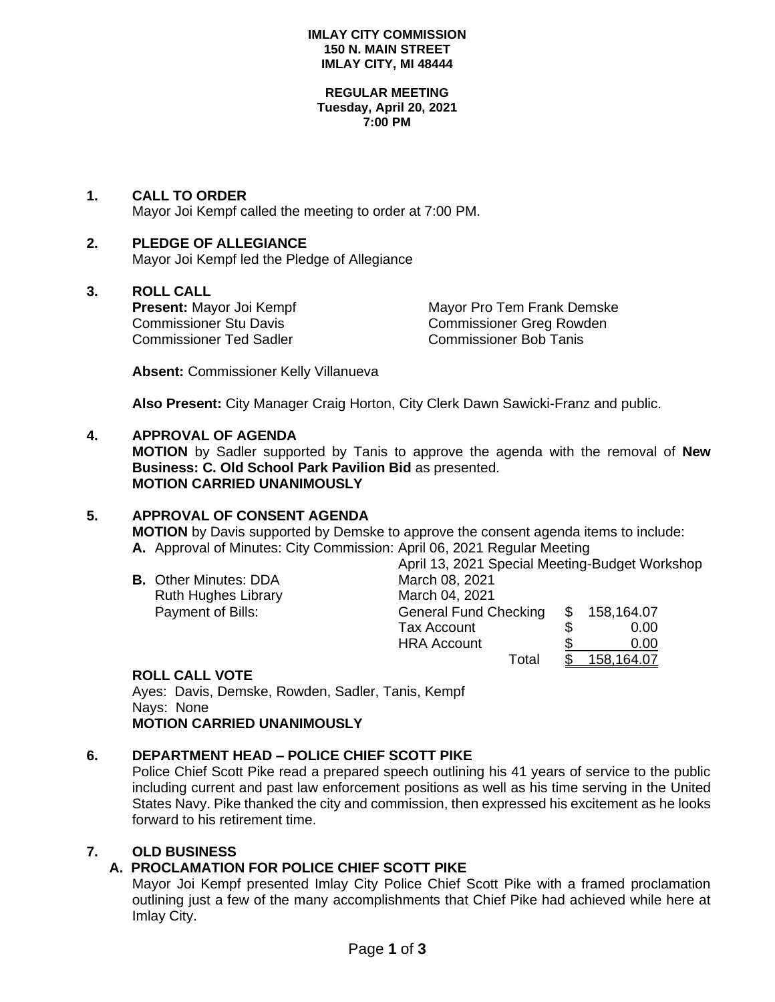#### **IMLAY CITY COMMISSION 150 N. MAIN STREET IMLAY CITY, MI 48444**

#### **REGULAR MEETING Tuesday, April 20, 2021 7:00 PM**

## **1. CALL TO ORDER**

Mayor Joi Kempf called the meeting to order at 7:00 PM.

# **2. PLEDGE OF ALLEGIANCE**

Mayor Joi Kempf led the Pledge of Allegiance

# **3. ROLL CALL**

Commissioner Ted Sadler Commissioner Bob Tanis

**Present:** Mayor Joi Kempf Mayor Pro Tem Frank Demske Commissioner Stu Davis Commissioner Greg Rowden

**Absent:** Commissioner Kelly Villanueva

**Also Present:** City Manager Craig Horton, City Clerk Dawn Sawicki-Franz and public.

# **4. APPROVAL OF AGENDA**

**MOTION** by Sadler supported by Tanis to approve the agenda with the removal of **New Business: C. Old School Park Pavilion Bid** as presented. **MOTION CARRIED UNANIMOUSLY**

## **5. APPROVAL OF CONSENT AGENDA**

**MOTION** by Davis supported by Demske to approve the consent agenda items to include: **A.** Approval of Minutes: City Commission: April 06, 2021 Regular Meeting

**B.** Other Minutes: DDA March 08, 2021 Ruth Hughes Library Payment of Bills:

April 13, 2021 Special Meeting-Budget Workshop

| <b>Ruth Hughes Library</b> | March 04, 2021               |     |            |
|----------------------------|------------------------------|-----|------------|
| Payment of Bills:          | <b>General Fund Checking</b> | - S | 158,164.07 |
|                            | Tax Account                  |     | 0.00       |
|                            | <b>HRA Account</b>           |     | 0.00       |
|                            | Total                        |     | 158,164.07 |

# **ROLL CALL VOTE**

Ayes: Davis, Demske, Rowden, Sadler, Tanis, Kempf Nays: None

# **MOTION CARRIED UNANIMOUSLY**

# **6. DEPARTMENT HEAD – POLICE CHIEF SCOTT PIKE**

Police Chief Scott Pike read a prepared speech outlining his 41 years of service to the public including current and past law enforcement positions as well as his time serving in the United States Navy. Pike thanked the city and commission, then expressed his excitement as he looks forward to his retirement time.

## **7. OLD BUSINESS**

# **A. PROCLAMATION FOR POLICE CHIEF SCOTT PIKE**

Mayor Joi Kempf presented Imlay City Police Chief Scott Pike with a framed proclamation outlining just a few of the many accomplishments that Chief Pike had achieved while here at Imlay City.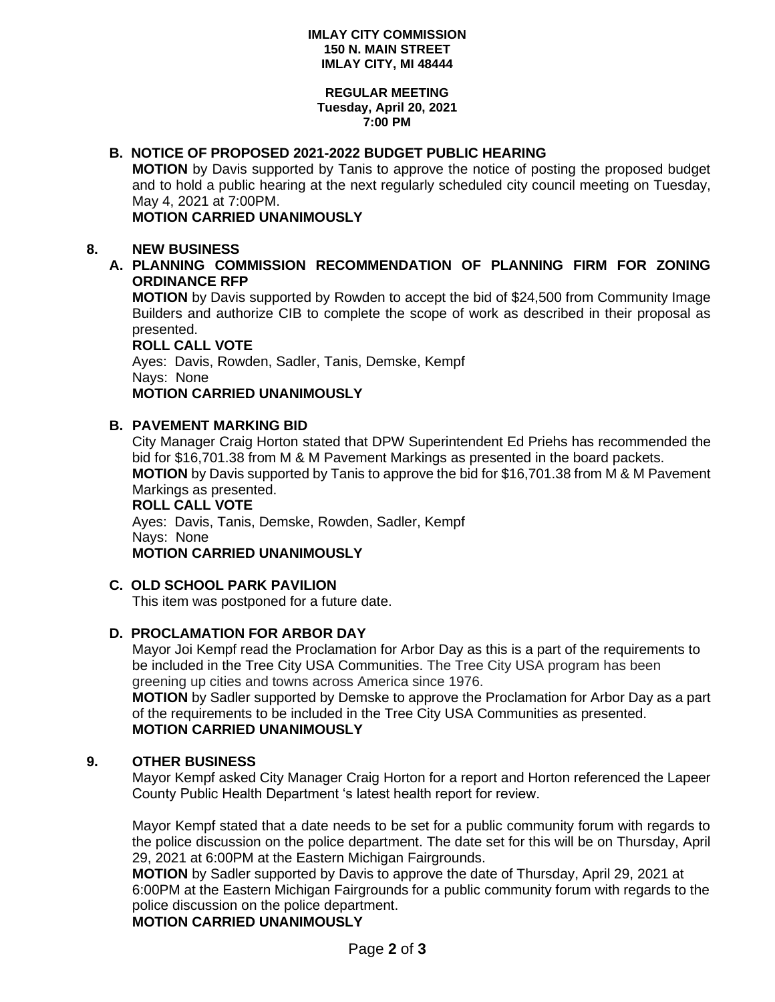#### **IMLAY CITY COMMISSION 150 N. MAIN STREET IMLAY CITY, MI 48444**

#### **REGULAR MEETING Tuesday, April 20, 2021 7:00 PM**

## **B. NOTICE OF PROPOSED 2021-2022 BUDGET PUBLIC HEARING**

**MOTION** by Davis supported by Tanis to approve the notice of posting the proposed budget and to hold a public hearing at the next regularly scheduled city council meeting on Tuesday, May 4, 2021 at 7:00PM.

**MOTION CARRIED UNANIMOUSLY**

## **8. NEW BUSINESS**

# **A. PLANNING COMMISSION RECOMMENDATION OF PLANNING FIRM FOR ZONING ORDINANCE RFP**

**MOTION** by Davis supported by Rowden to accept the bid of \$24,500 from Community Image Builders and authorize CIB to complete the scope of work as described in their proposal as presented.

#### **ROLL CALL VOTE**

Ayes: Davis, Rowden, Sadler, Tanis, Demske, Kempf Nays: None **MOTION CARRIED UNANIMOUSLY**

## **B. PAVEMENT MARKING BID**

City Manager Craig Horton stated that DPW Superintendent Ed Priehs has recommended the bid for \$16,701.38 from M & M Pavement Markings as presented in the board packets. **MOTION** by Davis supported by Tanis to approve the bid for \$16,701.38 from M & M Pavement Markings as presented.

## **ROLL CALL VOTE**

Ayes: Davis, Tanis, Demske, Rowden, Sadler, Kempf Nays: None **MOTION CARRIED UNANIMOUSLY**

# **C. OLD SCHOOL PARK PAVILION**

This item was postponed for a future date.

## **D. PROCLAMATION FOR ARBOR DAY**

Mayor Joi Kempf read the Proclamation for Arbor Day as this is a part of the requirements to be included in the Tree City USA Communities. The Tree City USA program has been greening up cities and towns across America since 1976.

**MOTION** by Sadler supported by Demske to approve the Proclamation for Arbor Day as a part of the requirements to be included in the Tree City USA Communities as presented. **MOTION CARRIED UNANIMOUSLY**

## **9. OTHER BUSINESS**

Mayor Kempf asked City Manager Craig Horton for a report and Horton referenced the Lapeer County Public Health Department 's latest health report for review.

Mayor Kempf stated that a date needs to be set for a public community forum with regards to the police discussion on the police department. The date set for this will be on Thursday, April 29, 2021 at 6:00PM at the Eastern Michigan Fairgrounds.

**MOTION** by Sadler supported by Davis to approve the date of Thursday, April 29, 2021 at 6:00PM at the Eastern Michigan Fairgrounds for a public community forum with regards to the police discussion on the police department.

# **MOTION CARRIED UNANIMOUSLY**